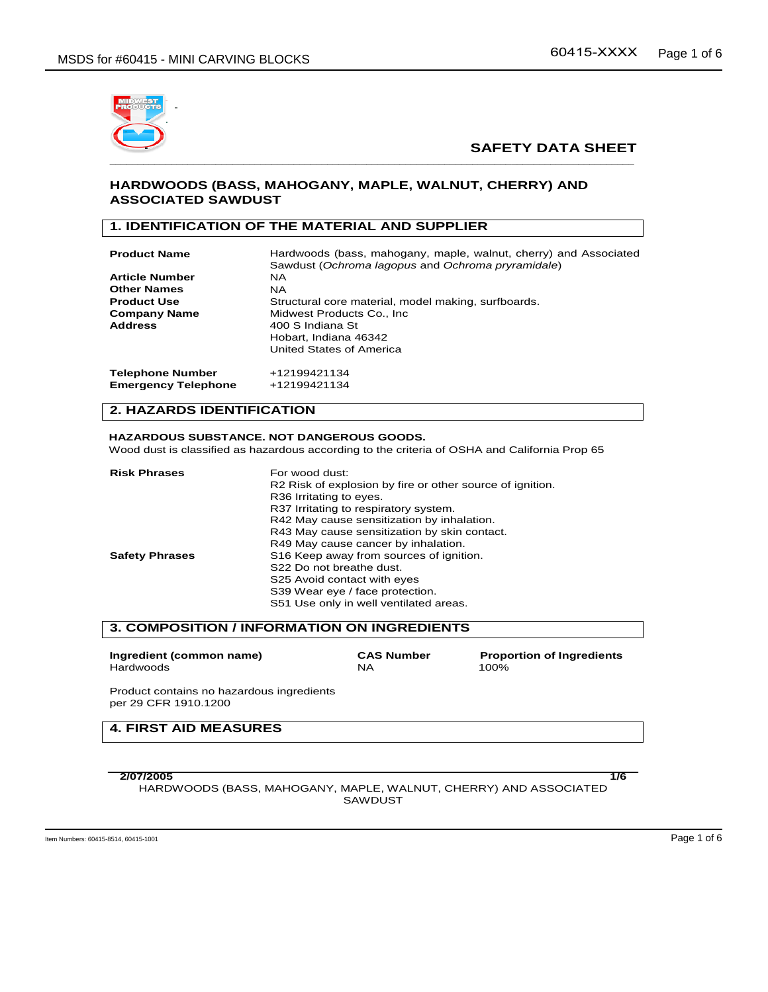

### **HARDWOODS (BASS, MAHOGANY, MAPLE, WALNUT, CHERRY) AND ASSOCIATED SAWDUST**

## **1. IDENTIFICATION OF THE MATERIAL AND SUPPLIER**

| <b>Product Name</b>        | Hardwoods (bass, mahogany, maple, walnut, cherry) and Associated<br>Sawdust (Ochroma lagopus and Ochroma pryramidale) |  |  |  |  |
|----------------------------|-----------------------------------------------------------------------------------------------------------------------|--|--|--|--|
| <b>Article Number</b>      | NA.                                                                                                                   |  |  |  |  |
| <b>Other Names</b>         | <b>NA</b>                                                                                                             |  |  |  |  |
| <b>Product Use</b>         | Structural core material, model making, surfboards.                                                                   |  |  |  |  |
| <b>Company Name</b>        | Midwest Products Co., Inc.                                                                                            |  |  |  |  |
| <b>Address</b>             | 400 S Indiana St                                                                                                      |  |  |  |  |
|                            | Hobart, Indiana 46342                                                                                                 |  |  |  |  |
|                            | United States of America                                                                                              |  |  |  |  |
| <b>Telephone Number</b>    | +12199421134                                                                                                          |  |  |  |  |
| <b>Emergency Telephone</b> | +12199421134                                                                                                          |  |  |  |  |

## **2. HAZARDS IDENTIFICATION**

#### **HAZARDOUS SUBSTANCE. NOT DANGEROUS GOODS.**

Wood dust is classified as hazardous according to the criteria of OSHA and California Prop 65

| <b>Risk Phrases</b>   | For wood dust:                                            |  |  |  |  |
|-----------------------|-----------------------------------------------------------|--|--|--|--|
|                       | R2 Risk of explosion by fire or other source of ignition. |  |  |  |  |
|                       | R36 Irritating to eyes.                                   |  |  |  |  |
|                       | R37 Irritating to respiratory system.                     |  |  |  |  |
|                       | R42 May cause sensitization by inhalation.                |  |  |  |  |
|                       | R43 May cause sensitization by skin contact.              |  |  |  |  |
|                       | R49 May cause cancer by inhalation.                       |  |  |  |  |
| <b>Safety Phrases</b> | S16 Keep away from sources of ignition.                   |  |  |  |  |
|                       | S22 Do not breathe dust.                                  |  |  |  |  |
|                       | S25 Avoid contact with eyes                               |  |  |  |  |
|                       | S39 Wear eye / face protection.                           |  |  |  |  |
|                       | S51 Use only in well ventilated areas.                    |  |  |  |  |

#### **3. COMPOSITION / INFORMATION ON INGREDIENTS**

| Ingredient (common name) | <b>CAS Number</b> | <b>Proportion of Ingredients</b> |
|--------------------------|-------------------|----------------------------------|
| Hardwoods                | NΑ                | 100%                             |

Product contains no hazardous ingredients per 29 CFR 1910.1200

# **4. FIRST AID MEASURES**

**2/07/2005 1/6**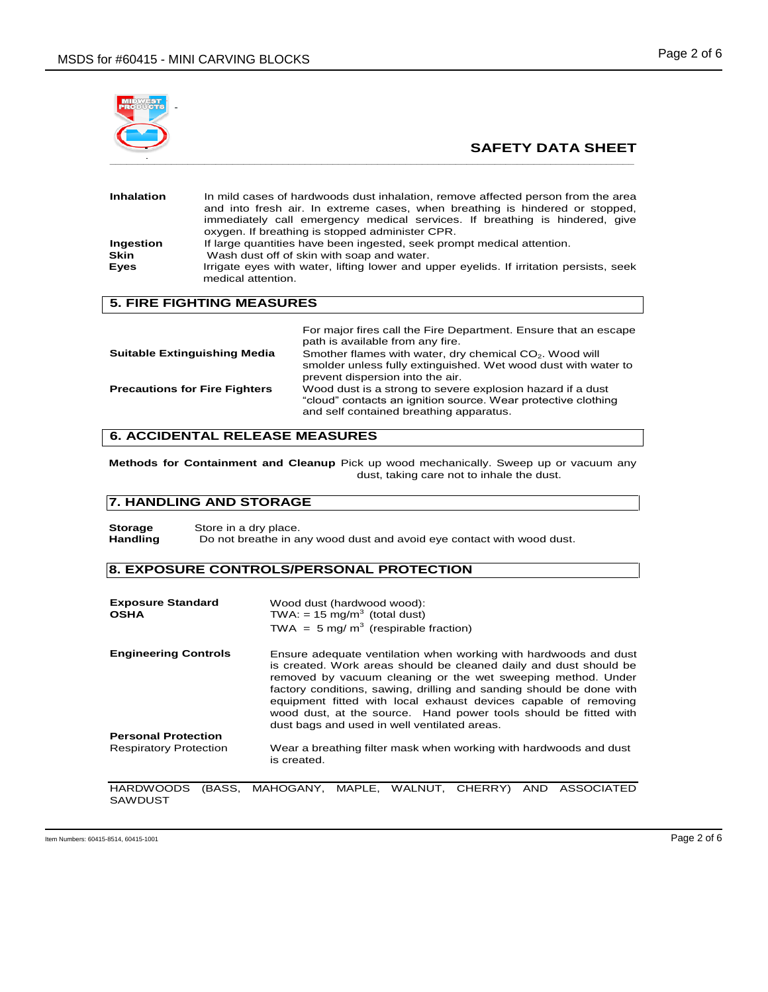

| Inhalation        | In mild cases of hardwoods dust inhalation, remove affected person from the area<br>and into fresh air. In extreme cases, when breathing is hindered or stopped,<br>immediately call emergency medical services. If breathing is hindered, give<br>oxygen. If breathing is stopped administer CPR. |  |  |  |  |
|-------------------|----------------------------------------------------------------------------------------------------------------------------------------------------------------------------------------------------------------------------------------------------------------------------------------------------|--|--|--|--|
|                   |                                                                                                                                                                                                                                                                                                    |  |  |  |  |
| Ingestion<br>Skin | If large quantities have been ingested, seek prompt medical attention.<br>Wash dust off of skin with soap and water.                                                                                                                                                                               |  |  |  |  |
| Eyes              | Irrigate eyes with water, lifting lower and upper eyelids. If irritation persists, seek<br>medical attention.                                                                                                                                                                                      |  |  |  |  |

## **5. FIRE FIGHTING MEASURES**

|                                      | For major fires call the Fire Department. Ensure that an escape<br>path is available from any fire.                                                                       |
|--------------------------------------|---------------------------------------------------------------------------------------------------------------------------------------------------------------------------|
| <b>Suitable Extinguishing Media</b>  | Smother flames with water, dry chemical CO <sub>2</sub> . Wood will<br>smolder unless fully extinguished. Wet wood dust with water to<br>prevent dispersion into the air. |
| <b>Precautions for Fire Fighters</b> | Wood dust is a strong to severe explosion hazard if a dust<br>"cloud" contacts an ignition source. Wear protective clothing<br>and self contained breathing apparatus.    |

# **6. ACCIDENTAL RELEASE MEASURES**

**Methods for Containment and Cleanup** Pick up wood mechanically. Sweep up or vacuum any dust, taking care not to inhale the dust.

## **7. HANDLING AND STORAGE**

**Storage** Store in a dry place.<br> **Handling** Do not breathe in a Do not breathe in any wood dust and avoid eye contact with wood dust.

## **8. EXPOSURE CONTROLS/PERSONAL PROTECTION**

| <b>Exposure Standard</b><br><b>OSHA</b> | Wood dust (hardwood wood):<br>TWA: = 15 mg/m <sup>3</sup> (total dust)                                                                                                                                                                                                                                                                                                                                                                                               |  |  |  |  |  |  |
|-----------------------------------------|----------------------------------------------------------------------------------------------------------------------------------------------------------------------------------------------------------------------------------------------------------------------------------------------------------------------------------------------------------------------------------------------------------------------------------------------------------------------|--|--|--|--|--|--|
|                                         | TWA = $5 \text{ mg/m}^3$ (respirable fraction)                                                                                                                                                                                                                                                                                                                                                                                                                       |  |  |  |  |  |  |
| <b>Engineering Controls</b>             | Ensure adequate ventilation when working with hardwoods and dust<br>is created. Work areas should be cleaned daily and dust should be<br>removed by vacuum cleaning or the wet sweeping method. Under<br>factory conditions, sawing, drilling and sanding should be done with<br>equipment fitted with local exhaust devices capable of removing<br>wood dust, at the source. Hand power tools should be fitted with<br>dust bags and used in well ventilated areas. |  |  |  |  |  |  |
| <b>Personal Protection</b>              |                                                                                                                                                                                                                                                                                                                                                                                                                                                                      |  |  |  |  |  |  |
| <b>Respiratory Protection</b>           | Wear a breathing filter mask when working with hardwoods and dust<br>is created.                                                                                                                                                                                                                                                                                                                                                                                     |  |  |  |  |  |  |
| IDACC<br>UADDIMOODS                     | $\lambda$ <sub>NIM</sub><br><b>ACCOCIATED</b><br>MAUOCANV<br>MADLE<br><b>CULDDV</b><br>$MAT$ $NHT$                                                                                                                                                                                                                                                                                                                                                                   |  |  |  |  |  |  |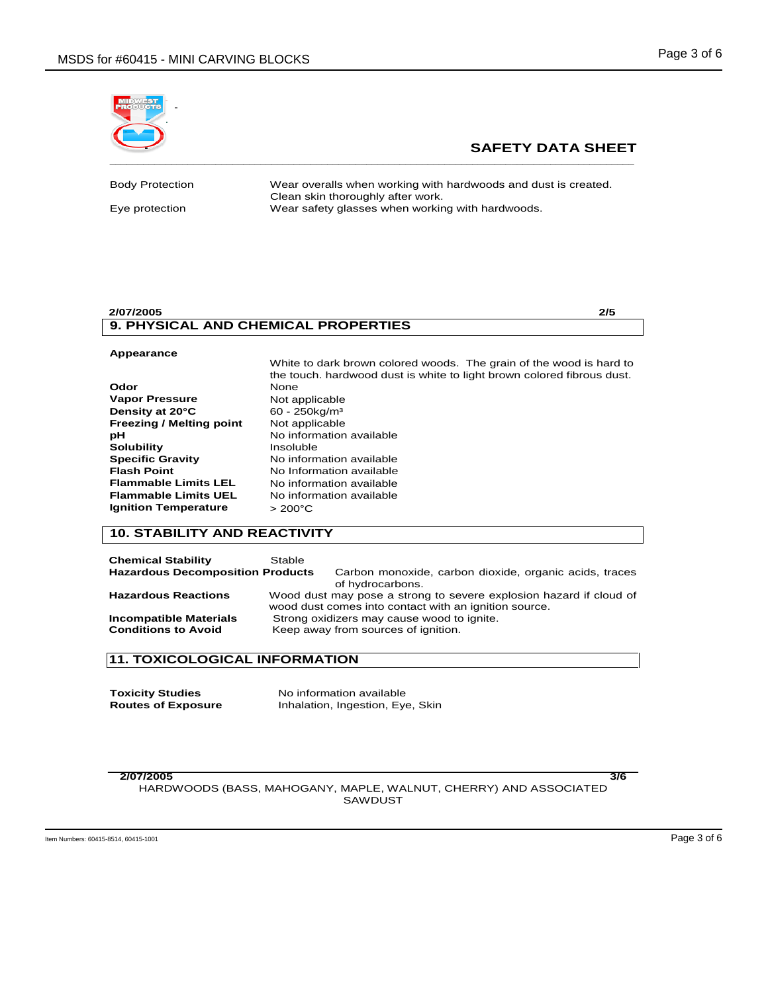

Body Protection Wear overalls when working with hardwoods and dust is created. Clean skin thoroughly after work. Eye protection Wear safety glasses when working with hardwoods.

#### **2/07/2005 2/5 9. PHYSICAL AND CHEMICAL PROPERTIES**

#### **Appearance**  White to dark brown colored woods. The grain of the wood is hard to the touch. hardwood dust is white to light brown colored fibrous dust. **Odor** None **Vapor Pressure Not applicable Density at 20°C** 60 - 250kg/m<sup>3</sup> **Freezing / Melting point** Not applicable **pH** No information available **Solubility** Insoluble **Specific Gravity No information available**<br>**Flash Point No Information available Flash Point No Information available**<br>**Flammable Limits LEL** No information available **No information available Flammable Limits UEL** No information available **Ignition Temperature**  $> 200^{\circ}$ C

# **10. STABILITY AND REACTIVITY**

| <b>Chemical Stability</b><br><b>Hazardous Decomposition Products</b> | Stable | Carbon monoxide, carbon dioxide, organic acids, traces<br>of hydrocarbons.                                                  |
|----------------------------------------------------------------------|--------|-----------------------------------------------------------------------------------------------------------------------------|
| <b>Hazardous Reactions</b>                                           |        | Wood dust may pose a strong to severe explosion hazard if cloud of<br>wood dust comes into contact with an ignition source. |
| <b>Incompatible Materials</b><br><b>Conditions to Avoid</b>          |        | Strong oxidizers may cause wood to ignite.<br>Keep away from sources of ignition.                                           |

# **11. TOXICOLOGICAL INFORMATION**

| <b>Toxicity Studies</b>   | No information available         |  |  |  |  |
|---------------------------|----------------------------------|--|--|--|--|
| <b>Routes of Exposure</b> | Inhalation, Ingestion, Eye, Skin |  |  |  |  |

**2/07/2005 3/6**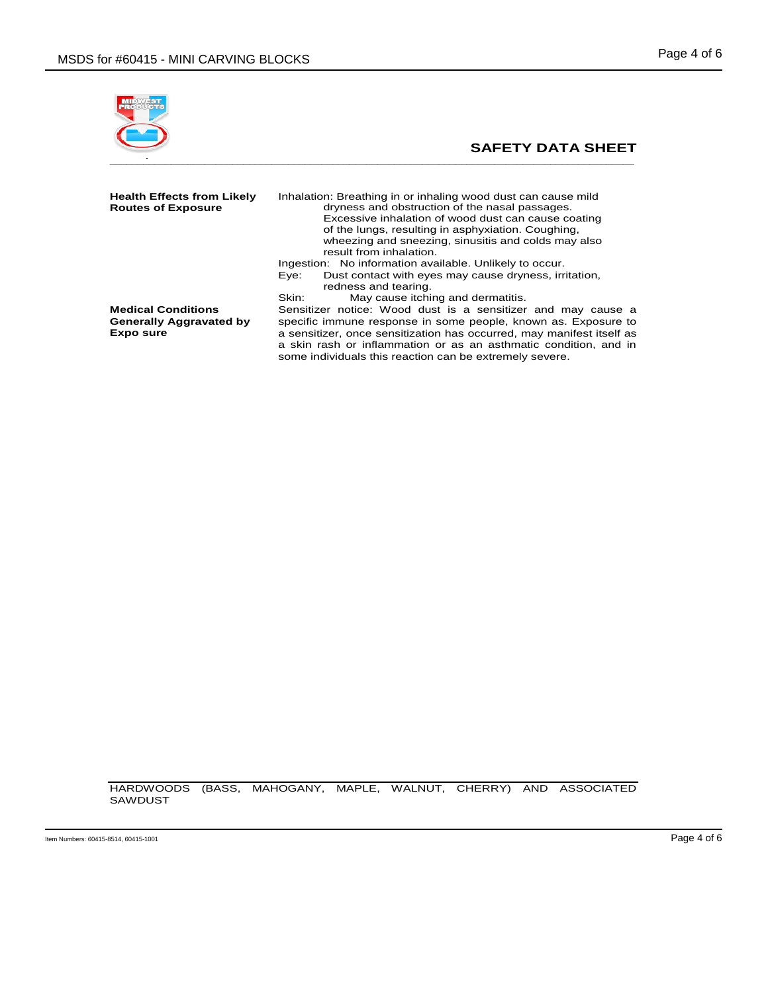

| Health Effects from Likely<br><b>Routes of Exposure</b>           | Inhalation: Breathing in or inhaling wood dust can cause mild<br>dryness and obstruction of the nasal passages.<br>Excessive inhalation of wood dust can cause coating<br>of the lungs, resulting in asphyxiation. Coughing,<br>wheezing and sneezing, sinusitis and colds may also<br>result from inhalation.                         |  |  |  |  |
|-------------------------------------------------------------------|----------------------------------------------------------------------------------------------------------------------------------------------------------------------------------------------------------------------------------------------------------------------------------------------------------------------------------------|--|--|--|--|
|                                                                   | Ingestion: No information available. Unlikely to occur.<br>Dust contact with eyes may cause dryness, irritation,<br>Eve:<br>redness and tearing.                                                                                                                                                                                       |  |  |  |  |
|                                                                   | May cause itching and dermatitis.<br>Skin:                                                                                                                                                                                                                                                                                             |  |  |  |  |
| <b>Medical Conditions</b><br>Generally Aggravated by<br>Expo sure | Sensitizer notice: Wood dust is a sensitizer and may cause a<br>specific immune response in some people, known as. Exposure to<br>a sensitizer, once sensitization has occurred, may manifest itself as<br>a skin rash or inflammation or as an asthmatic condition, and in<br>some individuals this reaction can be extremely severe. |  |  |  |  |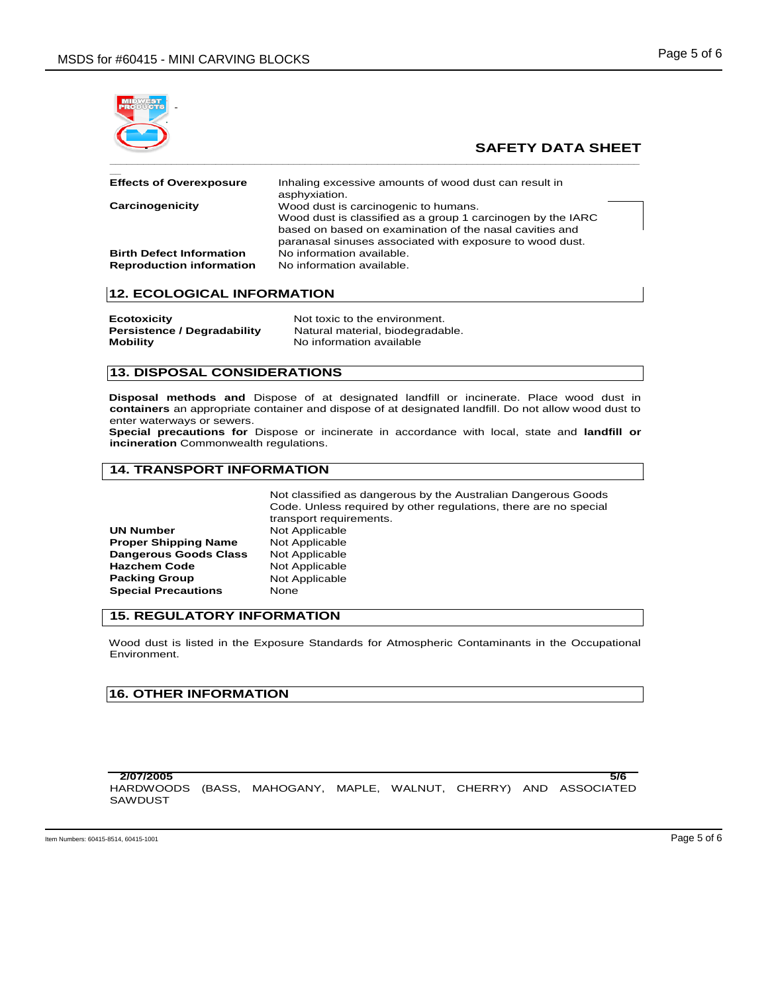

| <b>Effects of Overexposure</b>                                     | Inhaling excessive amounts of wood dust can result in<br>asphyxiation.                                                                                                                                                     |
|--------------------------------------------------------------------|----------------------------------------------------------------------------------------------------------------------------------------------------------------------------------------------------------------------------|
| Carcinogenicity                                                    | Wood dust is carcinogenic to humans.<br>Wood dust is classified as a group 1 carcinogen by the IARC<br>based on based on examination of the nasal cavities and<br>paranasal sinuses associated with exposure to wood dust. |
| <b>Birth Defect Information</b><br><b>Reproduction information</b> | No information available.<br>No information available.                                                                                                                                                                     |

# **12. ECOLOGICAL INFORMATION**

| <b>Ecotoxicity</b>                 |  |
|------------------------------------|--|
| <b>Persistence / Degradability</b> |  |
| <b>Mobility</b>                    |  |

Not toxic to the environment. Natural material, biodegradable. **No information available** 

## **13. DISPOSAL CONSIDERATIONS**

**Disposal methods and** Dispose of at designated landfill or incinerate. Place wood dust in **containers** an appropriate container and dispose of at designated landfill. Do not allow wood dust to enter waterways or sewers.

**Special precautions for** Dispose or incinerate in accordance with local, state and **landfill or incineration** Commonwealth regulations.

## **14. TRANSPORT INFORMATION**

Not classified as dangerous by the Australian Dangerous Goods Code. Unless required by other regulations, there are no special transport requirements. **UN Number 1988** Not Applicable<br> **Proper Shipping Name** Not Applicable **Dangerous Goods Class** Not Applicable **Hazchem Code Not Applicable <br>
<b>Packing Group Not Applicable Not Applicable Special Precautions None** 

### **15. REGULATORY INFORMATION**

Wood dust is listed in the Exposure Standards for Atmospheric Contaminants in the Occupational Environment.

### **16. OTHER INFORMATION**

**Proper Shipping Name** 

| 2/07/2005                                                         |  |  |  | 5/6 |
|-------------------------------------------------------------------|--|--|--|-----|
| HARDWOODS (BASS, MAHOGANY, MAPLE, WALNUT, CHERRY) AND ASSOCIATED. |  |  |  |     |
| SAWDUST                                                           |  |  |  |     |